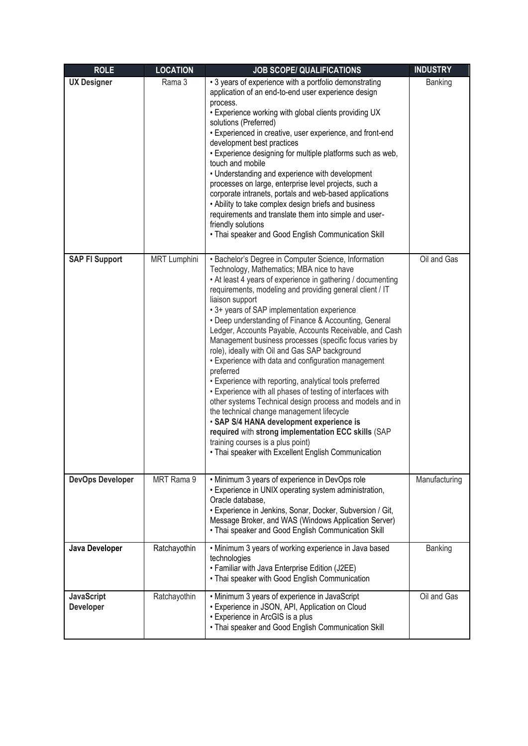| <b>ROLE</b>                    | <b>LOCATION</b>     | <b>JOB SCOPE/ QUALIFICATIONS</b>                                                                                                                                                                                                                                                                                                                                                                                                                                                                                                                                                                                                                                                                                                                                                                                                                                                                                                                                                                                                     | <b>INDUSTRY</b> |
|--------------------------------|---------------------|--------------------------------------------------------------------------------------------------------------------------------------------------------------------------------------------------------------------------------------------------------------------------------------------------------------------------------------------------------------------------------------------------------------------------------------------------------------------------------------------------------------------------------------------------------------------------------------------------------------------------------------------------------------------------------------------------------------------------------------------------------------------------------------------------------------------------------------------------------------------------------------------------------------------------------------------------------------------------------------------------------------------------------------|-----------------|
| <b>UX Designer</b>             | Rama 3              | • 3 years of experience with a portfolio demonstrating<br>application of an end-to-end user experience design<br>process.<br>. Experience working with global clients providing UX<br>solutions (Preferred)<br>• Experienced in creative, user experience, and front-end<br>development best practices<br>· Experience designing for multiple platforms such as web,<br>touch and mobile<br>• Understanding and experience with development<br>processes on large, enterprise level projects, such a<br>corporate intranets, portals and web-based applications<br>• Ability to take complex design briefs and business<br>requirements and translate them into simple and user-<br>friendly solutions<br>• Thai speaker and Good English Communication Skill                                                                                                                                                                                                                                                                        | Banking         |
| <b>SAP FI Support</b>          | <b>MRT Lumphini</b> | • Bachelor's Degree in Computer Science, Information<br>Technology, Mathematics; MBA nice to have<br>• At least 4 years of experience in gathering / documenting<br>requirements, modeling and providing general client / IT<br>liaison support<br>• 3+ years of SAP implementation experience<br>• Deep understanding of Finance & Accounting, General<br>Ledger, Accounts Payable, Accounts Receivable, and Cash<br>Management business processes (specific focus varies by<br>role), ideally with Oil and Gas SAP background<br>• Experience with data and configuration management<br>preferred<br>• Experience with reporting, analytical tools preferred<br>• Experience with all phases of testing of interfaces with<br>other systems Technical design process and models and in<br>the technical change management lifecycle<br>· SAP S/4 HANA development experience is<br>required with strong implementation ECC skills (SAP<br>training courses is a plus point)<br>• Thai speaker with Excellent English Communication | Oil and Gas     |
| <b>DevOps Developer</b>        | MRT Rama 9          | • Minimum 3 years of experience in DevOps role<br>• Experience in UNIX operating system administration,<br>Oracle database,<br>• Experience in Jenkins, Sonar, Docker, Subversion / Git,<br>Message Broker, and WAS (Windows Application Server)<br>• Thai speaker and Good English Communication Skill                                                                                                                                                                                                                                                                                                                                                                                                                                                                                                                                                                                                                                                                                                                              | Manufacturing   |
| Java Developer                 | Ratchayothin        | • Minimum 3 years of working experience in Java based<br>technologies<br>• Familiar with Java Enterprise Edition (J2EE)<br>• Thai speaker with Good English Communication                                                                                                                                                                                                                                                                                                                                                                                                                                                                                                                                                                                                                                                                                                                                                                                                                                                            | Banking         |
| <b>JavaScript</b><br>Developer | Ratchayothin        | • Minimum 3 years of experience in JavaScript<br>• Experience in JSON, API, Application on Cloud<br>• Experience in ArcGIS is a plus<br>• Thai speaker and Good English Communication Skill                                                                                                                                                                                                                                                                                                                                                                                                                                                                                                                                                                                                                                                                                                                                                                                                                                          | Oil and Gas     |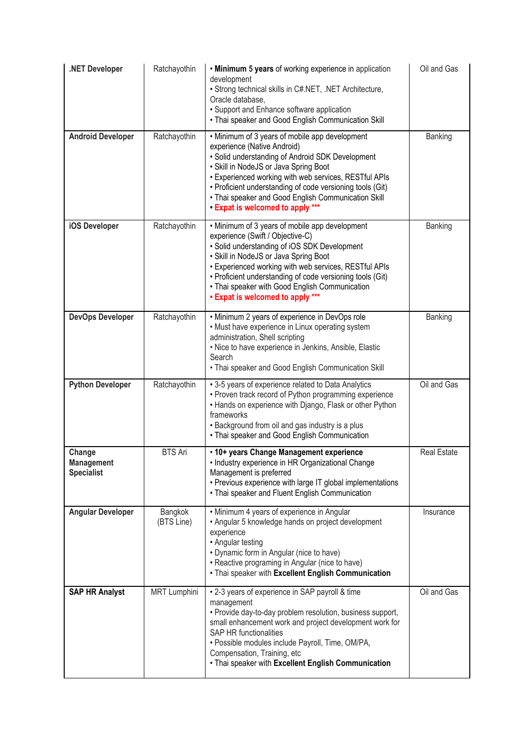| .NET Developer                                   | Ratchayothin          | . Minimum 5 years of working experience in application<br>development<br>· Strong technical skills in C#.NET, .NET Architecture,<br>Oracle database,<br>• Support and Enhance software application<br>• Thai speaker and Good English Communication Skill                                                                                                                                   | Oil and Gas        |
|--------------------------------------------------|-----------------------|---------------------------------------------------------------------------------------------------------------------------------------------------------------------------------------------------------------------------------------------------------------------------------------------------------------------------------------------------------------------------------------------|--------------------|
| <b>Android Developer</b>                         | Ratchayothin          | • Minimum of 3 years of mobile app development<br>experience (Native Android)<br>• Solid understanding of Android SDK Development<br>• Skill in NodeJS or Java Spring Boot<br>• Experienced working with web services, RESTful APIs<br>• Proficient understanding of code versioning tools (Git)<br>• Thai speaker and Good English Communication Skill<br>• Expat is welcomed to apply *** | Banking            |
| iOS Developer                                    | Ratchayothin          | • Minimum of 3 years of mobile app development<br>experience (Swift / Objective-C)<br>· Solid understanding of iOS SDK Development<br>· Skill in NodeJS or Java Spring Boot<br>• Experienced working with web services, RESTful APIs<br>• Proficient understanding of code versioning tools (Git)<br>• Thai speaker with Good English Communication<br>• Expat is welcomed to apply ***     | Banking            |
| <b>DevOps Developer</b>                          | Ratchayothin          | • Minimum 2 years of experience in DevOps role<br>• Must have experience in Linux operating system<br>administration, Shell scripting<br>· Nice to have experience in Jenkins, Ansible, Elastic<br>Search<br>• Thai speaker and Good English Communication Skill                                                                                                                            | Banking            |
| <b>Python Developer</b>                          | Ratchayothin          | • 3-5 years of experience related to Data Analytics<br>• Proven track record of Python programming experience<br>• Hands on experience with Django, Flask or other Python<br>frameworks<br>• Background from oil and gas industry is a plus<br>• Thai speaker and Good English Communication                                                                                                | Oil and Gas        |
| Change<br><b>Management</b><br><b>Specialist</b> | <b>BTS Ari</b>        | · 10+ years Change Management experience<br>• Industry experience in HR Organizational Change<br>Management is preferred<br>• Previous experience with large IT global implementations<br>• Thai speaker and Fluent English Communication                                                                                                                                                   | <b>Real Estate</b> |
| <b>Angular Developer</b>                         | Bangkok<br>(BTS Line) | • Minimum 4 years of experience in Angular<br>• Angular 5 knowledge hands on project development<br>experience<br>• Angular testing<br>• Dynamic form in Angular (nice to have)<br>• Reactive programing in Angular (nice to have)<br>. Thai speaker with Excellent English Communication                                                                                                   | Insurance          |
| <b>SAP HR Analyst</b>                            | <b>MRT Lumphini</b>   | • 2-3 years of experience in SAP payroll & time<br>management<br>• Provide day-to-day problem resolution, business support,<br>small enhancement work and project development work for<br><b>SAP HR functionalities</b><br>· Possible modules include Payroll, Time, OM/PA,<br>Compensation, Training, etc<br>. Thai speaker with Excellent English Communication                           | Oil and Gas        |